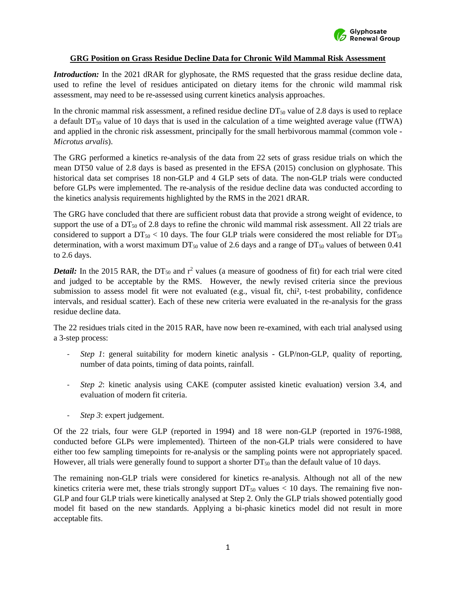

## **GRG Position on Grass Residue Decline Data for Chronic Wild Mammal Risk Assessment**

*Introduction:* In the 2021 dRAR for glyphosate, the RMS requested that the grass residue decline data, used to refine the level of residues anticipated on dietary items for the chronic wild mammal risk assessment, may need to be re-assessed using current kinetics analysis approaches.

In the chronic mammal risk assessment, a refined residue decline  $DT_{50}$  value of 2.8 days is used to replace a default  $DT_{50}$  value of 10 days that is used in the calculation of a time weighted average value (fTWA) and applied in the chronic risk assessment, principally for the small herbivorous mammal (common vole - *Microtus arvalis*).

The GRG performed a kinetics re-analysis of the data from 22 sets of grass residue trials on which the mean DT50 value of 2.8 days is based as presented in the EFSA (2015) conclusion on glyphosate. This historical data set comprises 18 non-GLP and 4 GLP sets of data. The non-GLP trials were conducted before GLPs were implemented. The re-analysis of the residue decline data was conducted according to the kinetics analysis requirements highlighted by the RMS in the 2021 dRAR.

The GRG have concluded that there are sufficient robust data that provide a strong weight of evidence, to support the use of a DT<sub>50</sub> of 2.8 days to refine the chronic wild mammal risk assessment. All 22 trials are considered to support a  $DT_{50}$  < 10 days. The four GLP trials were considered the most reliable for  $DT_{50}$ determination, with a worst maximum  $DT_{50}$  value of 2.6 days and a range of  $DT_{50}$  values of between 0.41 to 2.6 days.

*Detail:* In the 2015 RAR, the DT<sub>50</sub> and  $r^2$  values (a measure of goodness of fit) for each trial were cited and judged to be acceptable by the RMS. However, the newly revised criteria since the previous submission to assess model fit were not evaluated (e.g., visual fit, chi<sup>2</sup>, t-test probability, confidence intervals, and residual scatter). Each of these new criteria were evaluated in the re-analysis for the grass residue decline data.

The 22 residues trials cited in the 2015 RAR, have now been re-examined, with each trial analysed using a 3-step process:

- *Step 1*: general suitability for modern kinetic analysis GLP/non-GLP, quality of reporting, number of data points, timing of data points, rainfall.
- *Step 2*: kinetic analysis using CAKE (computer assisted kinetic evaluation) version 3.4, and evaluation of modern fit criteria.
- *Step 3*: expert judgement.

Of the 22 trials, four were GLP (reported in 1994) and 18 were non-GLP (reported in 1976-1988, conducted before GLPs were implemented). Thirteen of the non-GLP trials were considered to have either too few sampling timepoints for re-analysis or the sampling points were not appropriately spaced. However, all trials were generally found to support a shorter  $DT<sub>50</sub>$  than the default value of 10 days.

The remaining non-GLP trials were considered for kinetics re-analysis. Although not all of the new kinetics criteria were met, these trials strongly support  $DT_{50}$  values  $< 10$  days. The remaining five non-GLP and four GLP trials were kinetically analysed at Step 2. Only the GLP trials showed potentially good model fit based on the new standards. Applying a bi-phasic kinetics model did not result in more acceptable fits.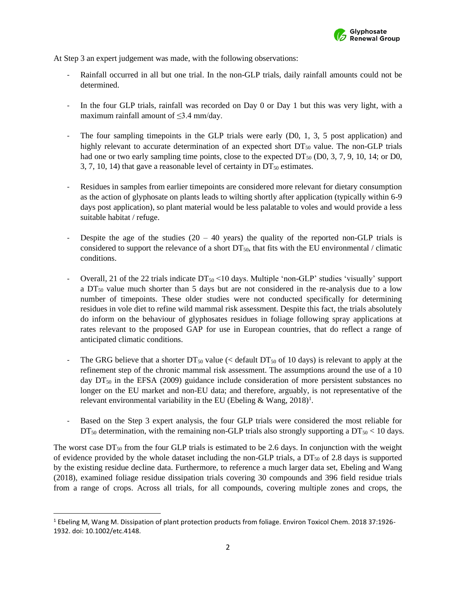

At Step 3 an expert judgement was made, with the following observations:

- Rainfall occurred in all but one trial. In the non-GLP trials, daily rainfall amounts could not be determined.
- In the four GLP trials, rainfall was recorded on Day 0 or Day 1 but this was very light, with a maximum rainfall amount of  $\leq$ 3.4 mm/day.
- The four sampling timepoints in the GLP trials were early  $(D0, 1, 3, 5)$  post application) and highly relevant to accurate determination of an expected short  $DT<sub>50</sub>$  value. The non-GLP trials had one or two early sampling time points, close to the expected  $DT_{50}$  (D0, 3, 7, 9, 10, 14; or D0, 3, 7, 10, 14) that gave a reasonable level of certainty in  $DT<sub>50</sub>$  estimates.
- Residues in samples from earlier timepoints are considered more relevant for dietary consumption as the action of glyphosate on plants leads to wilting shortly after application (typically within 6-9 days post application), so plant material would be less palatable to voles and would provide a less suitable habitat / refuge.
- Despite the age of the studies  $(20 40 \text{ years})$  the quality of the reported non-GLP trials is considered to support the relevance of a short  $DT<sub>50</sub>$ , that fits with the EU environmental / climatic conditions.
- Overall, 21 of the 22 trials indicate  $DT_{50}$  <10 days. Multiple 'non-GLP' studies 'visually' support a  $DT<sub>50</sub>$  value much shorter than 5 days but are not considered in the re-analysis due to a low number of timepoints. These older studies were not conducted specifically for determining residues in vole diet to refine wild mammal risk assessment. Despite this fact, the trials absolutely do inform on the behaviour of glyphosates residues in foliage following spray applications at rates relevant to the proposed GAP for use in European countries, that do reflect a range of anticipated climatic conditions.
- The GRG believe that a shorter  $DT_{50}$  value (< default  $DT_{50}$  of 10 days) is relevant to apply at the refinement step of the chronic mammal risk assessment. The assumptions around the use of a 10 day  $DT<sub>50</sub>$  in the EFSA (2009) guidance include consideration of more persistent substances no longer on the EU market and non-EU data; and therefore, arguably, is not representative of the relevant environmental variability in the EU (Ebeling & Wang,  $2018$ )<sup>1</sup>.
- Based on the Step 3 expert analysis, the four GLP trials were considered the most reliable for  $DT_{50}$  determination, with the remaining non-GLP trials also strongly supporting a  $DT_{50}$  < 10 days.

The worst case  $DT_{50}$  from the four GLP trials is estimated to be 2.6 days. In conjunction with the weight of evidence provided by the whole dataset including the non-GLP trials, a  $DT<sub>50</sub>$  of 2.8 days is supported by the existing residue decline data. Furthermore, to reference a much larger data set, Ebeling and Wang (2018), examined foliage residue dissipation trials covering 30 compounds and 396 field residue trials from a range of crops. Across all trials, for all compounds, covering multiple zones and crops, the

<sup>1</sup> Ebeling M, Wang M. Dissipation of plant protection products from foliage. Environ Toxicol Chem. 2018 37:1926- 1932. doi: 10.1002/etc.4148.